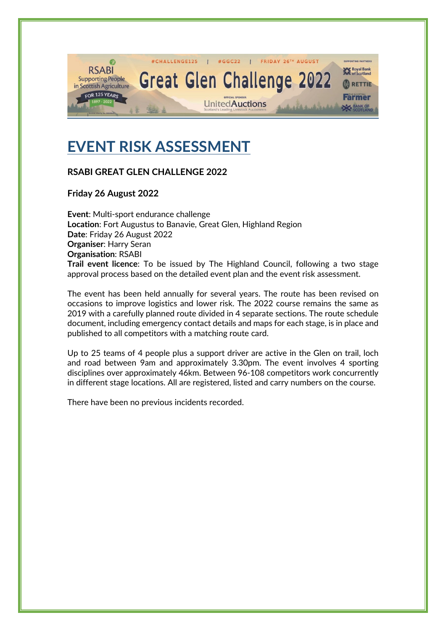

# **EVENT RISK ASSESSMENT**

## **RSABI GREAT GLEN CHALLENGE 2022**

**Friday 26 August 2022**

**Event**: Multi-sport endurance challenge **Location**: Fort Augustus to Banavie, Great Glen, Highland Region **Date**: Friday 26 August 2022 **Organiser**: Harry Seran **Organisation**: RSABI **Trail event licence**: To be issued by The Highland Council, following a two stage approval process based on the detailed event plan and the event risk assessment.

The event has been held annually for several years. The route has been revised on occasions to improve logistics and lower risk. The 2022 course remains the same as 2019 with a carefully planned route divided in 4 separate sections. The route schedule document, including emergency contact details and maps for each stage, is in place and published to all competitors with a matching route card.

Up to 25 teams of 4 people plus a support driver are active in the Glen on trail, loch and road between 9am and approximately 3.30pm. The event involves 4 sporting disciplines over approximately 46km. Between 96-108 competitors work concurrently in different stage locations. All are registered, listed and carry numbers on the course.

There have been no previous incidents recorded.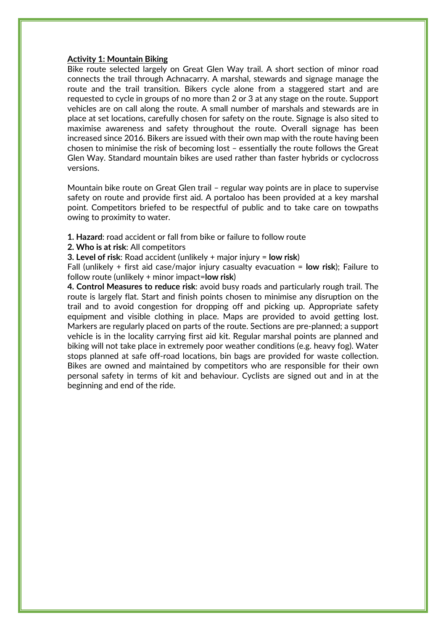#### **Activity 1: Mountain Biking**

Bike route selected largely on Great Glen Way trail. A short section of minor road connects the trail through Achnacarry. A marshal, stewards and signage manage the route and the trail transition. Bikers cycle alone from a staggered start and are requested to cycle in groups of no more than 2 or 3 at any stage on the route. Support vehicles are on call along the route. A small number of marshals and stewards are in place at set locations, carefully chosen for safety on the route. Signage is also sited to maximise awareness and safety throughout the route. Overall signage has been increased since 2016. Bikers are issued with their own map with the route having been chosen to minimise the risk of becoming lost – essentially the route follows the Great Glen Way. Standard mountain bikes are used rather than faster hybrids or cyclocross versions.

Mountain bike route on Great Glen trail – regular way points are in place to supervise safety on route and provide first aid. A portaloo has been provided at a key marshal point. Competitors briefed to be respectful of public and to take care on towpaths owing to proximity to water.

- **1. Hazard**: road accident or fall from bike or failure to follow route
- **2. Who is at risk**: All competitors

**3. Level of risk**: Road accident (unlikely + major injury = **low risk**)

Fall (unlikely + first aid case/major injury casualty evacuation = **low risk**); Failure to follow route (unlikely + minor impact=**low risk**)

**4. Control Measures to reduce risk**: avoid busy roads and particularly rough trail. The route is largely flat. Start and finish points chosen to minimise any disruption on the trail and to avoid congestion for dropping off and picking up. Appropriate safety equipment and visible clothing in place. Maps are provided to avoid getting lost. Markers are regularly placed on parts of the route. Sections are pre-planned; a support vehicle is in the locality carrying first aid kit. Regular marshal points are planned and biking will not take place in extremely poor weather conditions (e.g. heavy fog). Water stops planned at safe off-road locations, bin bags are provided for waste collection. Bikes are owned and maintained by competitors who are responsible for their own personal safety in terms of kit and behaviour. Cyclists are signed out and in at the beginning and end of the ride.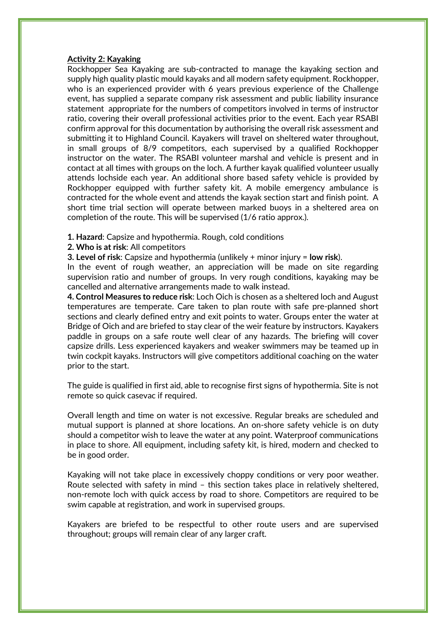#### **Activity 2: Kayaking**

Rockhopper Sea Kayaking are sub-contracted to manage the kayaking section and supply high quality plastic mould kayaks and all modern safety equipment. Rockhopper, who is an experienced provider with 6 years previous experience of the Challenge event, has supplied a separate company risk assessment and public liability insurance statement appropriate for the numbers of competitors involved in terms of instructor ratio, covering their overall professional activities prior to the event. Each year RSABI confirm approval for this documentation by authorising the overall risk assessment and submitting it to Highland Council. Kayakers will travel on sheltered water throughout, in small groups of 8/9 competitors, each supervised by a qualified Rockhopper instructor on the water. The RSABI volunteer marshal and vehicle is present and in contact at all times with groups on the loch. A further kayak qualified volunteer usually attends lochside each year. An additional shore based safety vehicle is provided by Rockhopper equipped with further safety kit. A mobile emergency ambulance is contracted for the whole event and attends the kayak section start and finish point. A short time trial section will operate between marked buoys in a sheltered area on completion of the route. This will be supervised (1/6 ratio approx.).

**1. Hazard**: Capsize and hypothermia. Rough, cold conditions

**2. Who is at risk**: All competitors

**3. Level of risk**: Capsize and hypothermia (unlikely + minor injury = **low risk**).

In the event of rough weather, an appreciation will be made on site regarding supervision ratio and number of groups. In very rough conditions, kayaking may be cancelled and alternative arrangements made to walk instead.

**4. Control Measures to reduce risk**: Loch Oich is chosen as a sheltered loch and August temperatures are temperate. Care taken to plan route with safe pre-planned short sections and clearly defined entry and exit points to water. Groups enter the water at Bridge of Oich and are briefed to stay clear of the weir feature by instructors. Kayakers paddle in groups on a safe route well clear of any hazards. The briefing will cover capsize drills. Less experienced kayakers and weaker swimmers may be teamed up in twin cockpit kayaks. Instructors will give competitors additional coaching on the water prior to the start.

The guide is qualified in first aid, able to recognise first signs of hypothermia. Site is not remote so quick casevac if required.

Overall length and time on water is not excessive. Regular breaks are scheduled and mutual support is planned at shore locations. An on-shore safety vehicle is on duty should a competitor wish to leave the water at any point. Waterproof communications in place to shore. All equipment, including safety kit, is hired, modern and checked to be in good order.

Kayaking will not take place in excessively choppy conditions or very poor weather. Route selected with safety in mind – this section takes place in relatively sheltered, non-remote loch with quick access by road to shore. Competitors are required to be swim capable at registration, and work in supervised groups.

Kayakers are briefed to be respectful to other route users and are supervised throughout; groups will remain clear of any larger craft.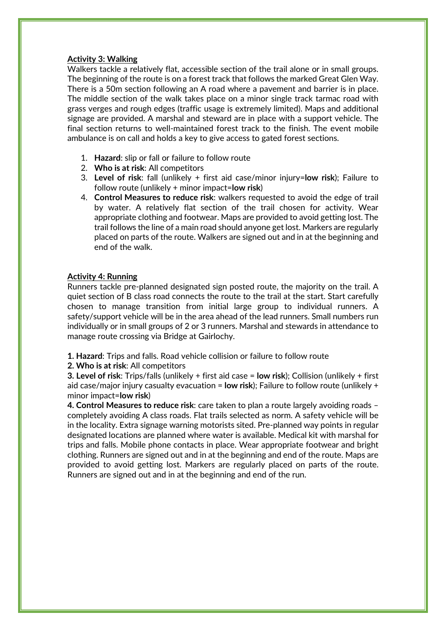#### **Activity 3: Walking**

Walkers tackle a relatively flat, accessible section of the trail alone or in small groups. The beginning of the route is on a forest track that follows the marked Great Glen Way. There is a 50m section following an A road where a pavement and barrier is in place. The middle section of the walk takes place on a minor single track tarmac road with grass verges and rough edges (traffic usage is extremely limited). Maps and additional signage are provided. A marshal and steward are in place with a support vehicle. The final section returns to well-maintained forest track to the finish. The event mobile ambulance is on call and holds a key to give access to gated forest sections.

- 1. **Hazard**: slip or fall or failure to follow route
- 2. **Who is at risk**: All competitors
- 3. **Level of risk**: fall (unlikely + first aid case/minor injury=**low risk**); Failure to follow route (unlikely + minor impact=**low risk**)
- 4. **Control Measures to reduce risk**: walkers requested to avoid the edge of trail by water. A relatively flat section of the trail chosen for activity. Wear appropriate clothing and footwear. Maps are provided to avoid getting lost. The trail follows the line of a main road should anyone get lost. Markers are regularly placed on parts of the route. Walkers are signed out and in at the beginning and end of the walk.

### **Activity 4: Running**

Runners tackle pre-planned designated sign posted route, the majority on the trail. A quiet section of B class road connects the route to the trail at the start. Start carefully chosen to manage transition from initial large group to individual runners. A safety/support vehicle will be in the area ahead of the lead runners. Small numbers run individually or in small groups of 2 or 3 runners. Marshal and stewards in attendance to manage route crossing via Bridge at Gairlochy.

**1. Hazard**: Trips and falls. Road vehicle collision or failure to follow route

**2. Who is at risk**: All competitors

**3. Level of risk**: Trips/falls (unlikely + first aid case = **low risk**); Collision (unlikely + first aid case/major injury casualty evacuation = **low risk**); Failure to follow route (unlikely + minor impact=**low risk**)

**4. Control Measures to reduce risk**: care taken to plan a route largely avoiding roads – completely avoiding A class roads. Flat trails selected as norm. A safety vehicle will be in the locality. Extra signage warning motorists sited. Pre-planned way points in regular designated locations are planned where water is available. Medical kit with marshal for trips and falls. Mobile phone contacts in place. Wear appropriate footwear and bright clothing. Runners are signed out and in at the beginning and end of the route. Maps are provided to avoid getting lost. Markers are regularly placed on parts of the route. Runners are signed out and in at the beginning and end of the run.